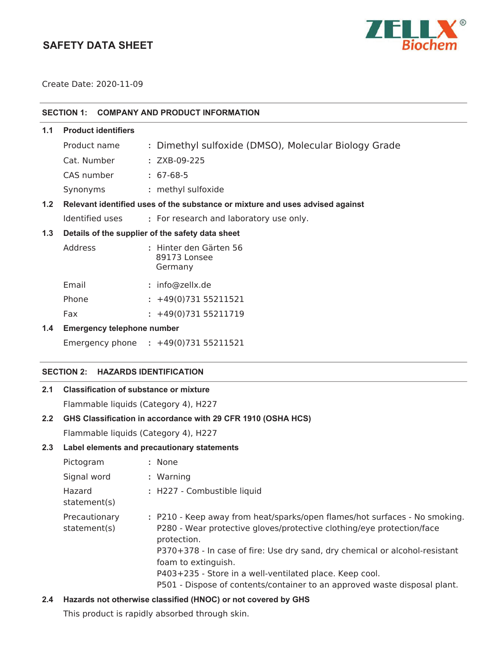# **SAFETY DATA SHEET**



Create Date: 2020-11-09

| SECTION 1: COMPANY AND PRODUCT INFORMATION |
|--------------------------------------------|

| - ה |                            | Delevent identified uses of the cubetance or mivture and uses advised enginet |
|-----|----------------------------|-------------------------------------------------------------------------------|
|     | Synonyms                   | : methyl sulfoxide                                                            |
|     | CAS number                 | $: 67-68-5$                                                                   |
|     | Cat. Number                | $: ZXB-09-225$                                                                |
|     | Product name               | : Dimethyl sulfoxide (DMSO), Molecular Biology Grade                          |
| 1.1 | <b>Product identifiers</b> |                                                                               |

# **1.2 Relevant identified uses of the substance or mixture and uses advised against**

Identified uses **:** For research and laboratory use only.

## **1.3 Details of the supplier of the safety data sheet**

| Address | : Hinter den Gärten 56<br>89173 Lonsee<br>Germany |
|---------|---------------------------------------------------|
| Email   | : info@zellx.de                                   |
| Phone   | $: +49(0)73155211521$                             |
| Fax     | $: +49(0)73155211719$                             |

#### **1.4 Emergency telephone number**

Emergency phone **:** 

### **SECTION 2: HAZARDS IDENTIFICATION**

# **2.1 Classification of substance or mixture**

Flammable liquids (Category 4), H227

# **2.2 GHS Classification in accordance with 29 CFR 1910 (OSHA HCS)**

Flammable liquids (Category 4), H227

## **2.3 Label elements and precautionary statements**

| Pictogram                     | : None                                                                                                                                                                                                                                                                                                                                                                                                           |
|-------------------------------|------------------------------------------------------------------------------------------------------------------------------------------------------------------------------------------------------------------------------------------------------------------------------------------------------------------------------------------------------------------------------------------------------------------|
| Signal word                   | : Warning                                                                                                                                                                                                                                                                                                                                                                                                        |
| Hazard<br>statement(s)        | : H227 - Combustible liquid                                                                                                                                                                                                                                                                                                                                                                                      |
| Precautionary<br>statement(s) | : P210 - Keep away from heat/sparks/open flames/hot surfaces - No smoking.<br>P280 - Wear protective gloves/protective clothing/eye protection/face<br>protection.<br>P370+378 - In case of fire: Use dry sand, dry chemical or alcohol-resistant<br>foam to extinguish.<br>P403+235 - Store in a well-ventilated place. Keep cool.<br>P501 - Dispose of contents/container to an approved waste disposal plant. |

## **2.4 Hazards not otherwise classified (HNOC) or not covered by GHS**

This product is rapidly absorbed through skin.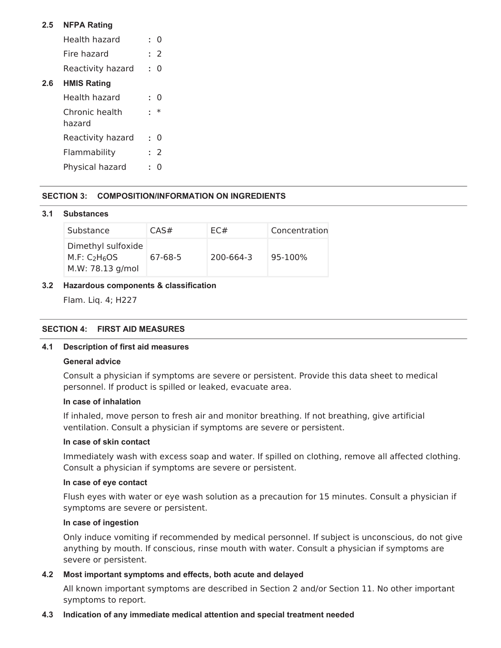## **2.5 NFPA Rating**

- Health hazard **:** 0 Fire hazard **:** 2
- Reactivity hazard **:** 0

## **2.6 HMIS Rating**

| Health hazard            |        |
|--------------------------|--------|
| Chronic health<br>hazard | $\ast$ |
| Reactivity hazard        | O      |
|                          |        |
| Flammability             | : 2    |

#### **SECTION 3: COMPOSITION/INFORMATION ON INGREDIENTS**

#### **3.1 Substances**

| Substance                                                                       | CAS#    | FC#       | Concentration |
|---------------------------------------------------------------------------------|---------|-----------|---------------|
| Dimethyl sulfoxide<br>M.F: C <sub>2</sub> H <sub>6</sub> OS<br>M.W: 78.13 g/mol | 67-68-5 | 200-664-3 | $95 - 100%$   |

#### **3.2 Hazardous components & classification**

Flam. Liq. 4; H227

## **SECTION 4: FIRST AID MEASURES**

#### **4.1 Description of first aid measures**

#### **General advice**

Consult a physician if symptoms are severe or persistent. Provide this data sheet to medical personnel. If product is spilled or leaked, evacuate area.

#### **In case of inhalation**

If inhaled, move person to fresh air and monitor breathing. If not breathing, give artificial ventilation. Consult a physician if symptoms are severe or persistent.

#### **In case of skin contact**

Immediately wash with excess soap and water. If spilled on clothing, remove all affected clothing. Consult a physician if symptoms are severe or persistent.

### **In case of eye contact**

Flush eyes with water or eye wash solution as a precaution for 15 minutes. Consult a physician if symptoms are severe or persistent.

#### **In case of ingestion**

Only induce vomiting if recommended by medical personnel. If subject is unconscious, do not give anything by mouth. If conscious, rinse mouth with water. Consult a physician if symptoms are severe or persistent.

#### **4.2 Most important symptoms and effects, both acute and delayed**

All known important symptoms are described in Section 2 and/or Section 11. No other important symptoms to report.

#### **4.3 Indication of any immediate medical attention and special treatment needed**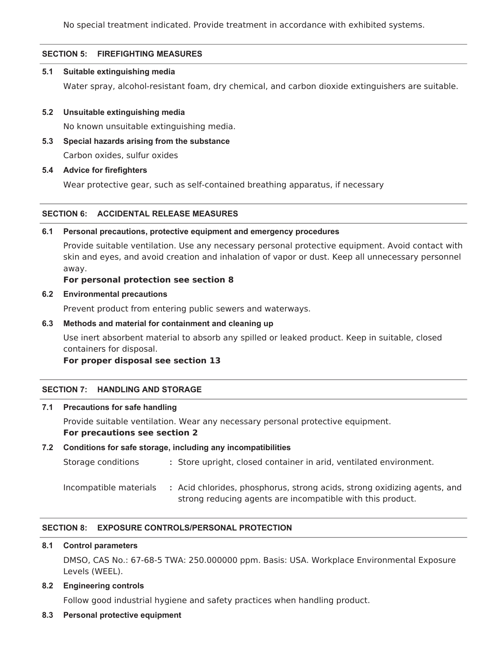No special treatment indicated. Provide treatment in accordance with exhibited systems.

## **SECTION 5: FIREFIGHTING MEASURES**

#### **5.1 Suitable extinguishing media**

Water spray, alcohol-resistant foam, dry chemical, and carbon dioxide extinguishers are suitable.

#### **5.2 Unsuitable extinguishing media**

No known unsuitable extinguishing media.

- **5.3 Special hazards arising from the substance** Carbon oxides, sulfur oxides
- **5.4 Advice for firefighters**

Wear protective gear, such as self-contained breathing apparatus, if necessary

#### **SECTION 6: ACCIDENTAL RELEASE MEASURES**

#### **6.1 Personal precautions, protective equipment and emergency procedures**

Provide suitable ventilation. Use any necessary personal protective equipment. Avoid contact with skin and eyes, and avoid creation and inhalation of vapor or dust. Keep all unnecessary personnel away.

#### **For personal protection see section 8**

#### **6.2 Environmental precautions**

Prevent product from entering public sewers and waterways.

**6.3 Methods and material for containment and cleaning up**

Use inert absorbent material to absorb any spilled or leaked product. Keep in suitable, closed containers for disposal.

#### **For proper disposal see section 13**

#### **SECTION 7: HANDLING AND STORAGE**

#### **7.1 Precautions for safe handling**

Provide suitable ventilation. Wear any necessary personal protective equipment. **For precautions see section 2**

#### **7.2 Conditions for safe storage, including any incompatibilities**

Storage conditions **:** Store upright, closed container in arid, ventilated environment.

Incompatible materials **:** Acid chlorides, phosphorus, strong acids, strong oxidizing agents, and strong reducing agents are incompatible with this product.

#### **SECTION 8: EXPOSURE CONTROLS/PERSONAL PROTECTION**

#### **8.1 Control parameters**

DMSO, CAS No.: 67-68-5 TWA: 250.000000 ppm. Basis: USA. Workplace Environmental Exposure Levels (WEEL).

#### **8.2 Engineering controls**

Follow good industrial hygiene and safety practices when handling product.

#### **8.3 Personal protective equipment**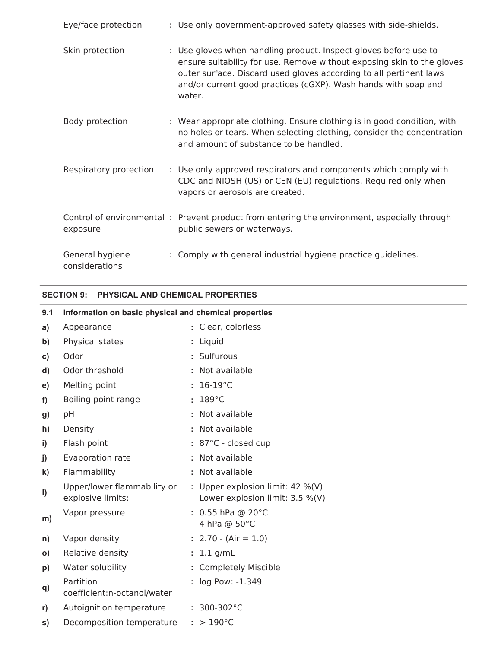| Eye/face protection               | : Use only government-approved safety glasses with side-shields.                                                                                                                                                                                                                             |
|-----------------------------------|----------------------------------------------------------------------------------------------------------------------------------------------------------------------------------------------------------------------------------------------------------------------------------------------|
| Skin protection                   | : Use gloves when handling product. Inspect gloves before use to<br>ensure suitability for use. Remove without exposing skin to the gloves<br>outer surface. Discard used gloves according to all pertinent laws<br>and/or current good practices (cGXP). Wash hands with soap and<br>water. |
| Body protection                   | : Wear appropriate clothing. Ensure clothing is in good condition, with<br>no holes or tears. When selecting clothing, consider the concentration<br>and amount of substance to be handled.                                                                                                  |
| Respiratory protection            | : Use only approved respirators and components which comply with<br>CDC and NIOSH (US) or CEN (EU) regulations. Required only when<br>vapors or aerosols are created.                                                                                                                        |
| exposure                          | Control of environmental: Prevent product from entering the environment, especially through<br>public sewers or waterways.                                                                                                                                                                   |
| General hygiene<br>considerations | : Comply with general industrial hygiene practice guidelines.                                                                                                                                                                                                                                |

## **SECTION 9: PHYSICAL AND CHEMICAL PROPERTIES**

| 9.1          | Information on basic physical and chemical properties |                                                                         |
|--------------|-------------------------------------------------------|-------------------------------------------------------------------------|
| a)           | Appearance                                            | : Clear, colorless                                                      |
| b)           | Physical states                                       | : Liquid                                                                |
| c)           | Odor                                                  | : Sulfurous                                                             |
| d)           | Odor threshold                                        | : Not available                                                         |
| e)           | Melting point                                         | $: 16-19$ °C                                                            |
| f)           | Boiling point range                                   | $: 189^{\circ}$ C                                                       |
| g)           | pH                                                    | : Not available                                                         |
| h)           | Density                                               | : Not available                                                         |
| $\mathbf{i}$ | Flash point                                           | : 87°C - closed cup                                                     |
| j)           | Evaporation rate                                      | : Not available                                                         |
| $\mathbf{k}$ | Flammability                                          | : Not available                                                         |
| $\mathsf{I}$ | Upper/lower flammability or<br>explosive limits:      | : Upper explosion limit: $42 \%$ (V)<br>Lower explosion limit: 3.5 %(V) |
| m)           | Vapor pressure                                        | : $0.55$ hPa @ 20°C<br>4 hPa @ 50°C                                     |
| n)           | Vapor density                                         | $: 2.70 - (Air = 1.0)$                                                  |
| O)           | Relative density                                      | $: 1.1$ g/mL                                                            |
| p)           | Water solubility                                      | : Completely Miscible                                                   |
| q)           | Partition<br>coefficient:n-octanol/water              | : log Pow: -1.349                                                       |
| r)           | Autoignition temperature                              | $: 300-302$ °C                                                          |
| s)           | Decomposition temperature                             | $: > 190^{\circ}$ C                                                     |
|              |                                                       |                                                                         |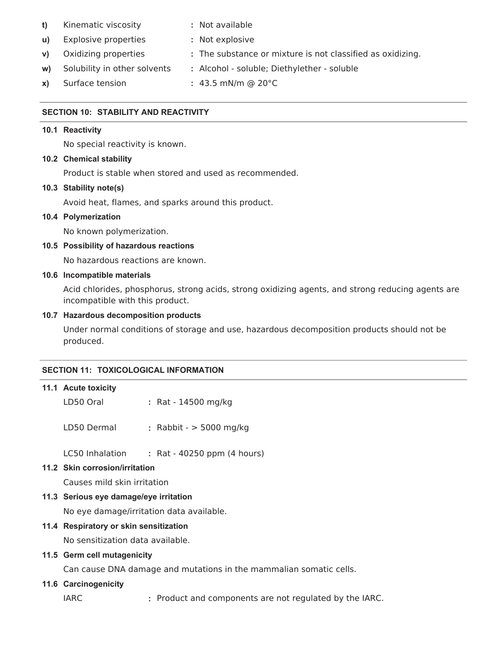- **t)** Kinematic viscosity **:** Not available
- **u)** Explosive properties **:** Not explosive
- **v)** Oxidizing properties **:** The substance or mixture is not classified as oxidizing.
- **w)** Solubility in other solvents **:** Alcohol soluble; Diethylether soluble
- **x)** Surface tension **:** 43.5 mN/m @ 20°C

## **SECTION 10: STABILITY AND REACTIVITY**

#### **10.1 Reactivity**

No special reactivity is known.

## **10.2 Chemical stability**

Product is stable when stored and used as recommended.

## **10.3 Stability note(s)**

Avoid heat, flames, and sparks around this product.

#### **10.4 Polymerization**

No known polymerization.

## **10.5 Possibility of hazardous reactions**

No hazardous reactions are known.

#### **10.6 Incompatible materials**

Acid chlorides, phosphorus, strong acids, strong oxidizing agents, and strong reducing agents are incompatible with this product.

#### **10.7 Hazardous decomposition products**

Under normal conditions of storage and use, hazardous decomposition products should not be produced.

#### **SECTION 11: TOXICOLOGICAL INFORMATION**

#### **11.1 Acute toxicity**

- LD50 Oral **:** Rat 14500 mg/kg
- LD50 Dermal **:** Rabbit > 5000 mg/kg

LC50 Inhalation **:** Rat - 40250 ppm (4 hours)

## **11.2 Skin corrosion/irritation**

Causes mild skin irritation

## **11.3 Serious eye damage/eye irritation**

No eye damage/irritation data available.

## **11.4 Respiratory or skin sensitization**

No sensitization data available.

## **11.5 Germ cell mutagenicity**

Can cause DNA damage and mutations in the mammalian somatic cells.

#### **11.6 Carcinogenicity**

IARC **:** Product and components are not regulated by the IARC.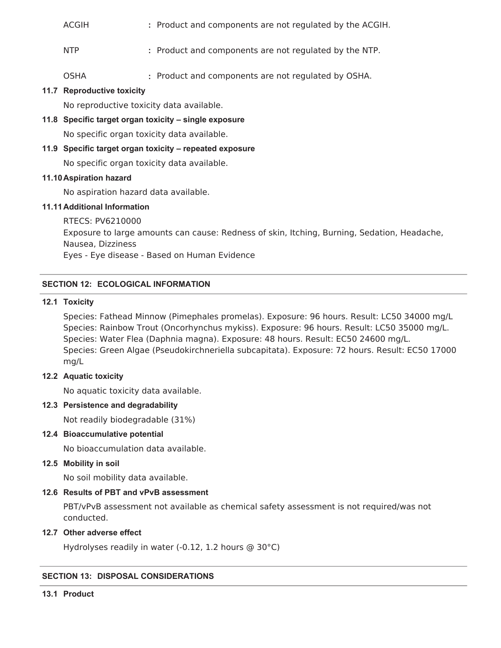| ACGIH |  |  | : Product and components are not regulated by the ACGIH. |  |
|-------|--|--|----------------------------------------------------------|--|
|-------|--|--|----------------------------------------------------------|--|

- NTP **:** Product and components are not regulated by the NTP.
- OSHA **:** Product and components are not regulated by OSHA.

## **11.7 Reproductive toxicity**

No reproductive toxicity data available.

**11.8 Specific target organ toxicity – single exposure**

No specific organ toxicity data available.

#### **11.9 Specific target organ toxicity – repeated exposure**

No specific organ toxicity data available.

#### **11.10Aspiration hazard**

No aspiration hazard data available.

## **11.11Additional Information**

RTECS: PV6210000 Exposure to large amounts can cause: Redness of skin, Itching, Burning, Sedation, Headache, Nausea, Dizziness Eyes - Eye disease - Based on Human Evidence

# **SECTION 12: ECOLOGICAL INFORMATION**

## **12.1 Toxicity**

Species: Fathead Minnow (Pimephales promelas). Exposure: 96 hours. Result: LC50 34000 mg/L Species: Rainbow Trout (Oncorhynchus mykiss). Exposure: 96 hours. Result: LC50 35000 mg/L. Species: Water Flea (Daphnia magna). Exposure: 48 hours. Result: EC50 24600 mg/L. Species: Green Algae (Pseudokirchneriella subcapitata). Exposure: 72 hours. Result: EC50 17000 mg/L

## **12.2 Aquatic toxicity**

No aquatic toxicity data available.

## **12.3 Persistence and degradability**

Not readily biodegradable (31%)

#### **12.4 Bioaccumulative potential**

No bioaccumulation data available.

## **12.5 Mobility in soil**

No soil mobility data available.

#### **12.6 Results of PBT and vPvB assessment**

PBT/vPvB assessment not available as chemical safety assessment is not required/was not conducted.

#### **12.7 Other adverse effect**

Hydrolyses readily in water (-0.12, 1.2 hours @ 30°C)

# **SECTION 13: DISPOSAL CONSIDERATIONS**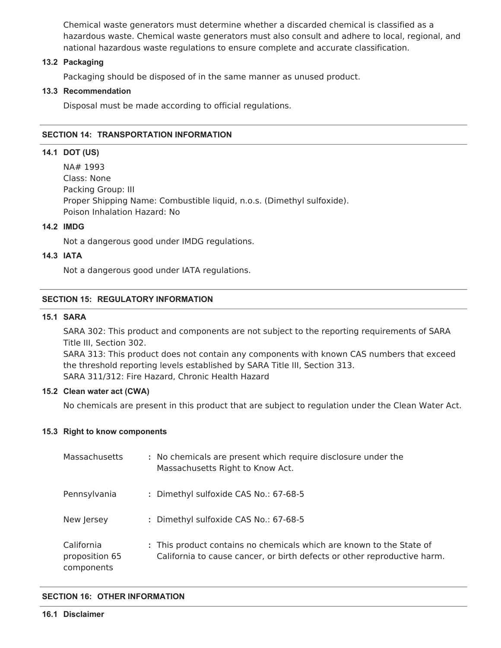Chemical waste generators must determine whether a discarded chemical is classified as a hazardous waste. Chemical waste generators must also consult and adhere to local, regional, and national hazardous waste regulations to ensure complete and accurate classification.

#### **13.2 Packaging**

Packaging should be disposed of in the same manner as unused product.

#### **13.3 Recommendation**

Disposal must be made according to official regulations.

#### **SECTION 14: TRANSPORTATION INFORMATION**

#### **14.1 DOT (US)**

NA# 1993 Class: None Packing Group: III Proper Shipping Name: Combustible liquid, n.o.s. (Dimethyl sulfoxide). Poison Inhalation Hazard: No

#### **14.2 IMDG**

Not a dangerous good under IMDG regulations.

#### **14.3 IATA**

Not a dangerous good under IATA regulations.

## **SECTION 15: REGULATORY INFORMATION**

#### **15.1 SARA**

SARA 302: This product and components are not subject to the reporting requirements of SARA Title III, Section 302.

SARA 313: This product does not contain any components with known CAS numbers that exceed the threshold reporting levels established by SARA Title III, Section 313. SARA 311/312: Fire Hazard, Chronic Health Hazard

#### **15.2 Clean water act (CWA)**

No chemicals are present in this product that are subject to regulation under the Clean Water Act.

#### **15.3 Right to know components**

| Massachusetts                              | : No chemicals are present which require disclosure under the<br>Massachusetts Right to Know Act.                                                |
|--------------------------------------------|--------------------------------------------------------------------------------------------------------------------------------------------------|
| Pennsylvania                               | : Dimethyl sulfoxide CAS No.: 67-68-5                                                                                                            |
| New Jersey                                 | : Dimethyl sulfoxide CAS No.: 67-68-5                                                                                                            |
| California<br>proposition 65<br>components | : This product contains no chemicals which are known to the State of<br>California to cause cancer, or birth defects or other reproductive harm. |

#### **SECTION 16: OTHER INFORMATION**